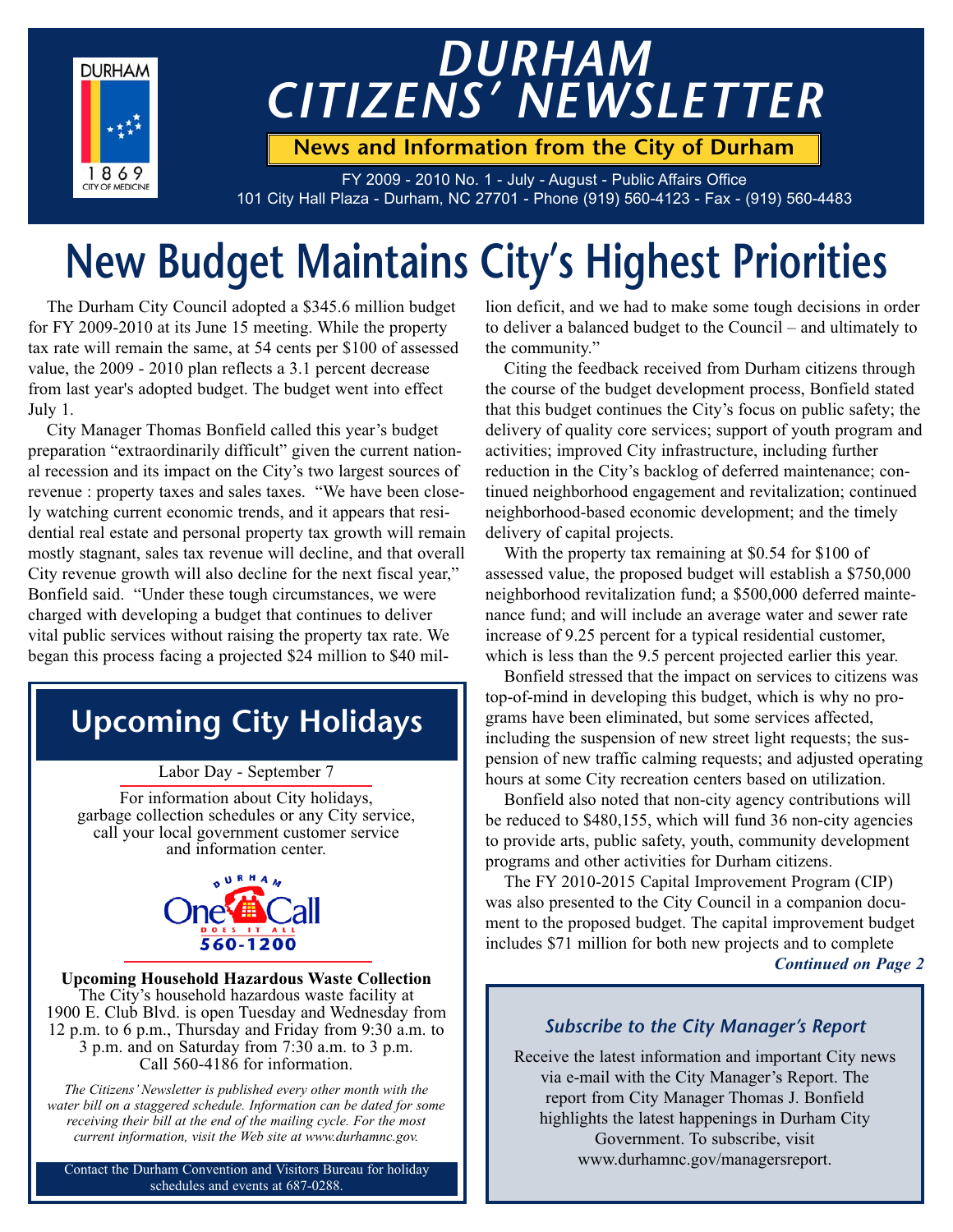

## *DURHAM CITIZENS' NEWSLETTER*

**News and Information from the City of Durham**

FY 2009 - 2010 No. 1 - July - August - Public Affairs Office 101 City Hall Plaza - Durham, NC 27701 - Phone (919) 560-4123 - Fax - (919) 560-4483

# **New Budget Maintains City's Highest Priorities**

The Durham City Council adopted a \$345.6 million budget for FY 2009-2010 at its June 15 meeting. While the property tax rate will remain the same, at 54 cents per \$100 of assessed value, the 2009 - 2010 plan reflects a 3.1 percent decrease from last year's adopted budget. The budget went into effect July 1.

City Manager Thomas Bonfield called this year's budget preparation "extraordinarily difficult" given the current national recession and its impact on the City's two largest sources of revenue : property taxes and sales taxes. "We have been closely watching current economic trends, and it appears that residential real estate and personal property tax growth will remain mostly stagnant, sales tax revenue will decline, and that overall City revenue growth will also decline for the next fiscal year," Bonfield said. "Under these tough circumstances, we were charged with developing a budget that continues to deliver vital public services without raising the property tax rate. We began this process facing a projected \$24 million to \$40 mil-

### **Upcoming City Holidays**

#### Labor Day - September 7

For information about City holidays, garbage collection schedules or any City service, call your local government customer service and information center.



**Upcoming Household Hazardous Waste Collection** The City's household hazardous waste facility at 1900 E. Club Blvd. is open Tuesday and Wednesday from 12 p.m. to 6 p.m., Thursday and Friday from 9:30 a.m. to 3 p.m. and on Saturday from 7:30 a.m. to 3 p.m. Call 560-4186 for information.

*The Citizens' Newsletter is published every other month with the water bill on a staggered schedule. Information can be dated for some receiving their bill at the end of the mailing cycle. For the most current information, visit the Web site at www.durhamnc.gov.*

Contact the Durham Convention and Visitors Bureau for holiday schedules and events at 687-0288.

lion deficit, and we had to make some tough decisions in order to deliver a balanced budget to the Council – and ultimately to the community."

Citing the feedback received from Durham citizens through the course of the budget development process, Bonfield stated that this budget continues the City's focus on public safety; the delivery of quality core services; support of youth program and activities; improved City infrastructure, including further reduction in the City's backlog of deferred maintenance; continued neighborhood engagement and revitalization; continued neighborhood-based economic development; and the timely delivery of capital projects.

With the property tax remaining at \$0.54 for \$100 of assessed value, the proposed budget will establish a \$750,000 neighborhood revitalization fund; a \$500,000 deferred maintenance fund; and will include an average water and sewer rate increase of 9.25 percent for a typical residential customer, which is less than the 9.5 percent projected earlier this year.

Bonfield stressed that the impact on services to citizens was top-of-mind in developing this budget, which is why no programs have been eliminated, but some services affected, including the suspension of new street light requests; the suspension of new traffic calming requests; and adjusted operating hours at some City recreation centers based on utilization.

Bonfield also noted that non-city agency contributions will be reduced to \$480,155, which will fund 36 non-city agencies to provide arts, public safety, youth, community development programs and other activities for Durham citizens.

The FY 2010-2015 Capital Improvement Program (CIP) was also presented to the City Council in a companion document to the proposed budget. The capital improvement budget includes \$71 million for both new projects and to complete *Continued on Page 2*

#### *Subscribe to the City Manager's Report*

Receive the latest information and important City news via e-mail with the City Manager's Report. The report from City Manager Thomas J. Bonfield highlights the latest happenings in Durham City Government. To subscribe, visit www.durhamnc.gov/managersreport.